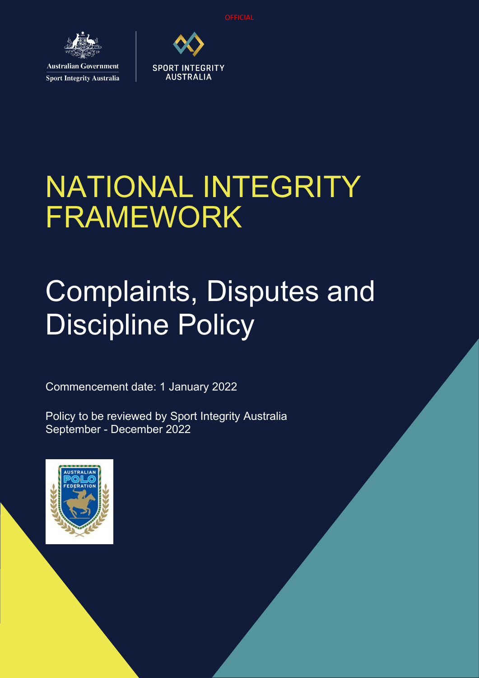

**Sport Integrity Australia** 



# NATIONAL INTEGRITY FRAMEWORK

# Complaints, Disputes and Discipline Policy

Commencement date: 1 January 2022

Policy to be reviewed by Sport Integrity Australia September - December 2022

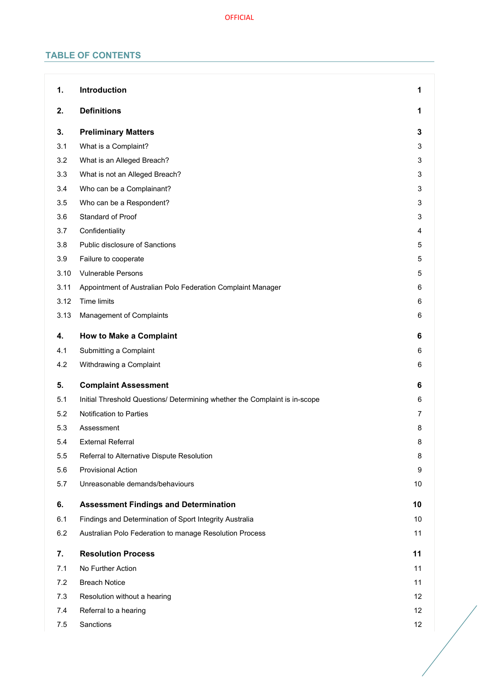# **TABLE OF CONTENTS**

| 1.   | Introduction                                                               | 1              |
|------|----------------------------------------------------------------------------|----------------|
| 2.   | <b>Definitions</b>                                                         | 1              |
| 3.   | <b>Preliminary Matters</b>                                                 | 3              |
| 3.1  | What is a Complaint?                                                       | 3              |
| 3.2  | What is an Alleged Breach?                                                 | 3              |
| 3.3  | What is not an Alleged Breach?                                             | 3              |
| 3.4  | Who can be a Complainant?                                                  | 3              |
| 3.5  | Who can be a Respondent?                                                   | 3              |
| 3.6  | Standard of Proof                                                          | 3              |
| 3.7  | Confidentiality                                                            | 4              |
| 3.8  | Public disclosure of Sanctions                                             | 5              |
| 3.9  | Failure to cooperate                                                       | 5              |
| 3.10 | <b>Vulnerable Persons</b>                                                  | 5              |
| 3.11 | Appointment of Australian Polo Federation Complaint Manager                | 6              |
| 3.12 | Time limits                                                                | 6              |
| 3.13 | Management of Complaints                                                   | 6              |
| 4.   | <b>How to Make a Complaint</b>                                             | 6              |
| 4.1  | Submitting a Complaint                                                     | 6              |
| 4.2  | Withdrawing a Complaint                                                    | 6              |
| 5.   | <b>Complaint Assessment</b>                                                | 6              |
| 5.1  | Initial Threshold Questions/ Determining whether the Complaint is in-scope | 6              |
| 5.2  | Notification to Parties                                                    | $\overline{7}$ |
| 5.3  | Assessment                                                                 | 8              |
| 5.4  | <b>External Referral</b>                                                   | 8              |
| 5.5  | Referral to Alternative Dispute Resolution                                 | 8              |
| 5.6  | <b>Provisional Action</b>                                                  | 9              |
| 5.7  | Unreasonable demands/behaviours                                            | 10             |
| 6.   | <b>Assessment Findings and Determination</b>                               | 10             |
| 6.1  | Findings and Determination of Sport Integrity Australia                    | 10             |
| 6.2  | Australian Polo Federation to manage Resolution Process                    | 11             |
| 7.   | <b>Resolution Process</b>                                                  | 11             |
| 7.1  | No Further Action                                                          | 11             |
| 7.2  | <b>Breach Notice</b>                                                       | 11             |
| 7.3  | Resolution without a hearing                                               | 12             |
| 7.4  | Referral to a hearing                                                      | 12             |
| 7.5  | Sanctions                                                                  | 12             |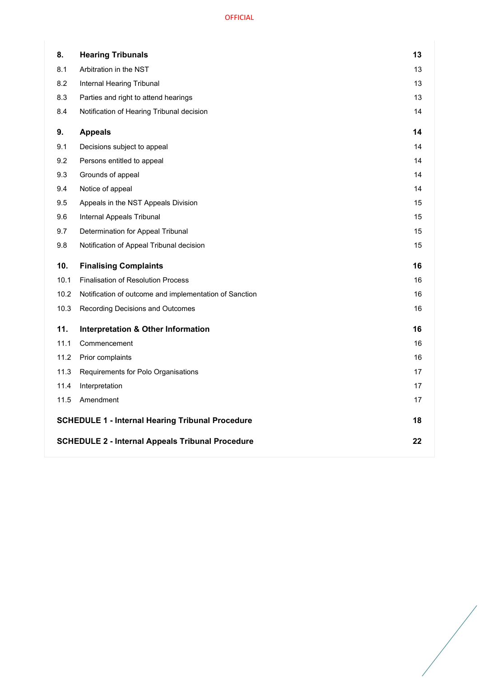| 8.   | <b>Hearing Tribunals</b>                                | 13 |
|------|---------------------------------------------------------|----|
| 8.1  | Arbitration in the NST                                  | 13 |
| 8.2  | Internal Hearing Tribunal                               | 13 |
| 8.3  | Parties and right to attend hearings                    | 13 |
| 8.4  | Notification of Hearing Tribunal decision               | 14 |
| 9.   | <b>Appeals</b>                                          | 14 |
| 9.1  | Decisions subject to appeal                             | 14 |
| 9.2  | Persons entitled to appeal                              | 14 |
| 9.3  | Grounds of appeal                                       | 14 |
| 9.4  | Notice of appeal                                        | 14 |
| 9.5  | Appeals in the NST Appeals Division                     | 15 |
| 9.6  | Internal Appeals Tribunal                               | 15 |
| 9.7  | Determination for Appeal Tribunal                       | 15 |
| 9.8  | Notification of Appeal Tribunal decision                | 15 |
| 10.  | <b>Finalising Complaints</b>                            | 16 |
| 10.1 | <b>Finalisation of Resolution Process</b>               | 16 |
|      |                                                         |    |
| 10.2 | Notification of outcome and implementation of Sanction  | 16 |
| 10.3 | Recording Decisions and Outcomes                        | 16 |
| 11.  | <b>Interpretation &amp; Other Information</b>           | 16 |
| 11.1 | Commencement                                            | 16 |
| 11.2 | Prior complaints                                        | 16 |
| 11.3 | Requirements for Polo Organisations                     | 17 |
| 11.4 | Interpretation                                          | 17 |
| 11.5 | Amendment                                               | 17 |
|      | <b>SCHEDULE 1 - Internal Hearing Tribunal Procedure</b> | 18 |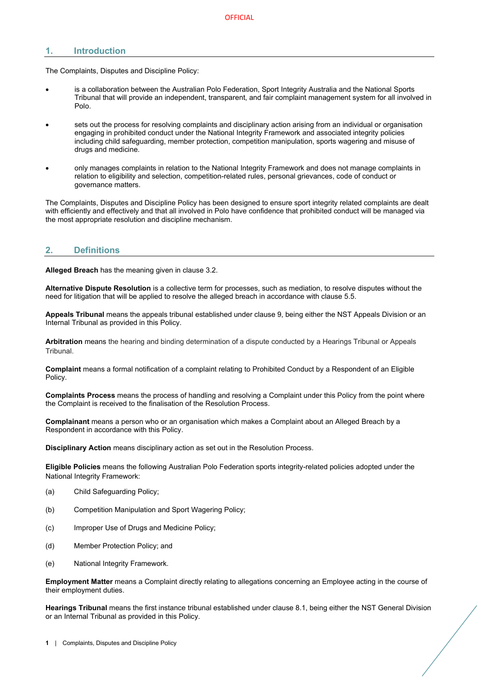# <span id="page-3-0"></span>**1. Introduction**

The Complaints, Disputes and Discipline Policy:

- is a collaboration between the Australian Polo Federation, Sport Integrity Australia and the National Sports Tribunal that will provide an independent, transparent, and fair complaint management system for all involved in Polo.
- sets out the process for resolving complaints and disciplinary action arising from an individual or organisation engaging in prohibited conduct under the National Integrity Framework and associated integrity policies including child safeguarding, member protection, competition manipulation, sports wagering and misuse of drugs and medicine.
- only manages complaints in relation to the National Integrity Framework and does not manage complaints in relation to eligibility and selection, competition-related rules, personal grievances, code of conduct or governance matters.

The Complaints, Disputes and Discipline Policy has been designed to ensure sport integrity related complaints are dealt with efficiently and effectively and that all involved in Polo have confidence that prohibited conduct will be managed via the most appropriate resolution and discipline mechanism.

# <span id="page-3-1"></span>**2. Definitions**

**Alleged Breach** has the meaning given in clause [3.2.](#page-5-2) 

**Alternative Dispute Resolution** is a collective term for processes, such as mediation, to resolve disputes without the need for litigation that will be applied to resolve the alleged breach in accordance with clause [5.5.](#page-10-2)

**Appeals Tribunal** means the appeals tribunal established under clause [9,](#page-16-1) being either the NST Appeals Division or an Internal Tribunal as provided in this Policy.

**Arbitration** means the hearing and binding determination of a dispute conducted by a Hearings Tribunal or Appeals Tribunal.

**Complaint** means a formal notification of a complaint relating to Prohibited Conduct by a Respondent of an Eligible Policy.

**Complaints Process** means the process of handling and resolving a Complaint under this Policy from the point where the Complaint is received to the finalisation of the Resolution Process.

**Complainant** means a person who or an organisation which makes a Complaint about an Alleged Breach by a Respondent in accordance with this Policy.

**Disciplinary Action** means disciplinary action as set out in the Resolution Process.

**Eligible Policies** means the following Australian Polo Federation sports integrity-related policies adopted under the National Integrity Framework:

- (a) Child Safeguarding Policy;
- (b) Competition Manipulation and Sport Wagering Policy;
- (c) Improper Use of Drugs and Medicine Policy;
- (d) Member Protection Policy; and
- (e) National Integrity Framework.

**Employment Matter** means a Complaint directly relating to allegations concerning an Employee acting in the course of their employment duties.

**Hearings Tribunal** means the first instance tribunal established under clause [8.1,](#page-15-1) being either the NST General Division or an Internal Tribunal as provided in this Policy.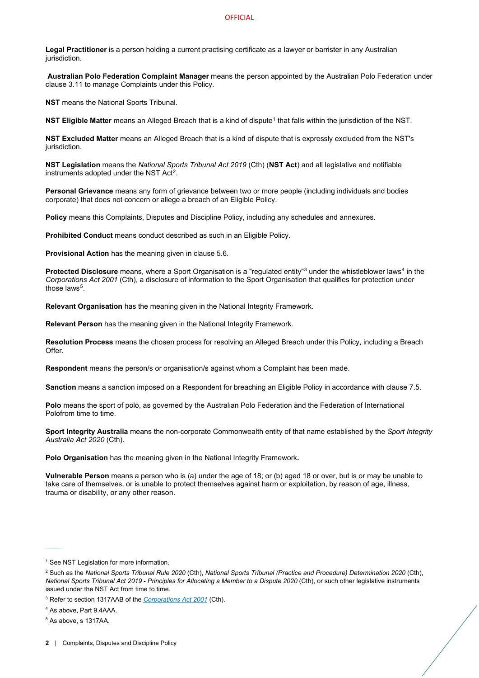**Legal Practitioner** is a person holding a current practising certificate as a lawyer or barrister in any Australian jurisdiction.

**Australian Polo Federation Complaint Manager** means the person appointed by the Australian Polo Federation under clause [3.11](#page-8-0) to manage Complaints under this Policy.

**NST** means the National Sports Tribunal.

**NST Eligible Matter** means an Alleged Breach that is a kind of dispute<sup>[1](#page-4-0)</sup> that falls within the jurisdiction of the NST.

**NST Excluded Matter** means an Alleged Breach that is a kind of dispute that is expressly excluded from the NST's jurisdiction.

**NST Legislation** means the *National Sports Tribunal Act 2019* (Cth) (**NST Act**) and all legislative and notifiable instruments adopted under the NST Act[2](#page-4-1).

**Personal Grievance** means any form of grievance between two or more people (including individuals and bodies corporate) that does not concern or allege a breach of an Eligible Policy.

**Policy** means this Complaints, Disputes and Discipline Policy, including any schedules and annexures.

**Prohibited Conduct** means conduct described as such in an Eligible Policy.

**Provisional Action** has the meaning given in clause [5.6.](#page-11-0)

**Protected Disclosure** means, where a Sport Organisation is a "regulated entity"<sup>[3](#page-4-2)</sup> under the whistleblower laws<sup>[4](#page-4-3)</sup> in the *Corporations Act 2001* (Cth), a disclosure of information to the Sport Organisation that qualifies for protection under those laws<sup>[5](#page-4-4)</sup>.

**Relevant Organisation** has the meaning given in the National Integrity Framework.

**Relevant Person** has the meaning given in the National Integrity Framework.

**Resolution Process** means the chosen process for resolving an Alleged Breach under this Policy, including a Breach Offer.

**Respondent** means the person/s or organisation/s against whom a Complaint has been made.

**Sanction** means a sanction imposed on a Respondent for breaching an Eligible Policy in accordance with clause [7.5.](#page-14-2) 

**Polo** means the sport of polo, as governed by the Australian Polo Federation and the Federation of International Polofrom time to time.

**Sport Integrity Australia** means the non-corporate Commonwealth entity of that name established by the *Sport Integrity Australia Act 2020* (Cth).

**Polo Organisation** has the meaning given in the National Integrity Framework**.** 

**Vulnerable Person** means a person who is (a) under the age of 18; or (b) aged 18 or over, but is or may be unable to take care of themselves, or is unable to protect themselves against harm or exploitation, by reason of age, illness, trauma or disability, or any other reason.

 $\mathcal{L}^{\mathcal{L}}$ 

<span id="page-4-0"></span><sup>&</sup>lt;sup>1</sup> See NST Legislation for more information.

<span id="page-4-1"></span><sup>2</sup> Such as the *National Sports Tribunal Rule 2020* (Cth), *National Sports Tribunal (Practice and Procedure) Determination 2020* (Cth), *National Sports Tribunal Act 2019 - Principles for Allocating a Member to a Dispute 2020* (Cth), or such other legislative instruments issued under the NST Act from time to time.

<span id="page-4-2"></span><sup>3</sup> Refer to section 1317AAB of the *[Corporations Act 2001](https://www.legislation.gov.au/Details/C2020C00093/Html/Volume_5#_Toc33706032)* (Cth).

<span id="page-4-3"></span><sup>4</sup> As above, Part 9.4AAA.

<span id="page-4-4"></span><sup>5</sup> As above, s 1317AA.

**<sup>2</sup>** | Complaints, Disputes and Discipline Policy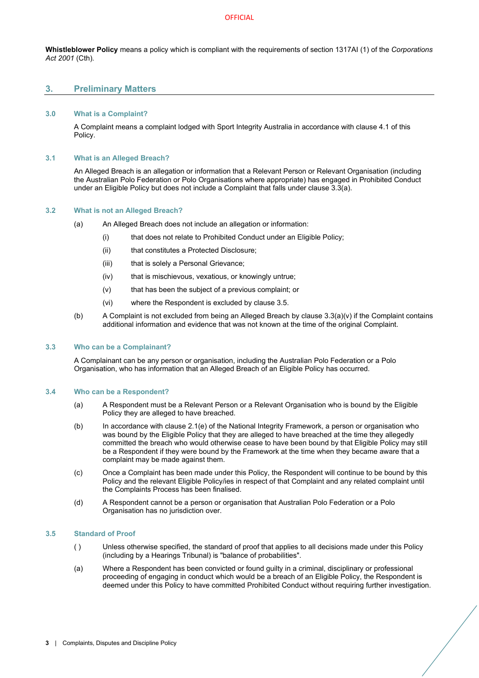**Whistleblower Policy** means a policy which is compliant with the requirements of section 1317AI (1) of the *Corporations Act 2001* (Cth).

## <span id="page-5-0"></span>**3. Preliminary Matters**

#### <span id="page-5-1"></span>**3.0 What is a Complaint?**

A Complaint means a complaint lodged with Sport Integrity Australia in accordance with clause [4.1](#page-8-4) of this Policy.

#### <span id="page-5-2"></span>**3.1 What is an Alleged Breach?**

An Alleged Breach is an allegation or information that a Relevant Person or Relevant Organisation (including the Australian Polo Federation or Polo Organisations where appropriate) has engaged in Prohibited Conduct under an Eligible Policy but does not include a Complaint that falls under clause [3.3\(](#page-5-3)a).

## <span id="page-5-3"></span>**3.2 What is not an Alleged Breach?**

- (a) An Alleged Breach does not include an allegation or information:
	- (i) that does not relate to Prohibited Conduct under an Eligible Policy;
		- (ii) that constitutes a Protected Disclosure;
		- (iii) that is solely a Personal Grievance;
		- (iv) that is mischievous, vexatious, or knowingly untrue;
		- (v) that has been the subject of a previous complaint; or
	- (vi) where the Respondent is excluded by clause [3.5.](#page-5-5)
- <span id="page-5-7"></span>(b) A Complaint is not excluded from being an Alleged Breach by clause  $3.3(a)(v)$  $3.3(a)(v)$  if the Complaint contains additional information and evidence that was not known at the time of the original Complaint.

#### <span id="page-5-4"></span>**3.3 Who can be a Complainant?**

A Complainant can be any person or organisation, including the Australian Polo Federation or a Polo Organisation, who has information that an Alleged Breach of an Eligible Policy has occurred.

#### <span id="page-5-5"></span>**3.4 Who can be a Respondent?**

- (a) A Respondent must be a Relevant Person or a Relevant Organisation who is bound by the Eligible Policy they are alleged to have breached.
- (b) In accordance with clause 2.1(e) of the National Integrity Framework, a person or organisation who was bound by the Eligible Policy that they are alleged to have breached at the time they allegedly committed the breach who would otherwise cease to have been bound by that Eligible Policy may still be a Respondent if they were bound by the Framework at the time when they became aware that a complaint may be made against them.
- (c) Once a Complaint has been made under this Policy, the Respondent will continue to be bound by this Policy and the relevant Eligible Policy/ies in respect of that Complaint and any related complaint until the Complaints Process has been finalised.
- (d) A Respondent cannot be a person or organisation that Australian Polo Federation or a Polo Organisation has no jurisdiction over.

#### <span id="page-5-6"></span>**3.5 Standard of Proof**

- ( ) Unless otherwise specified, the standard of proof that applies to all decisions made under this Policy (including by a Hearings Tribunal) is "balance of probabilities".
- (a) Where a Respondent has been convicted or found guilty in a criminal, disciplinary or professional proceeding of engaging in conduct which would be a breach of an Eligible Policy, the Respondent is deemed under this Policy to have committed Prohibited Conduct without requiring further investigation.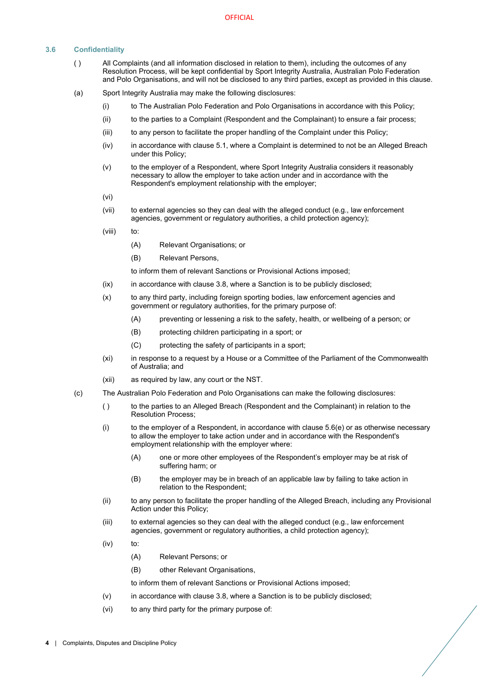# <span id="page-6-0"></span>**3.6 Confidentiality**

- ( ) All Complaints (and all information disclosed in relation to them), including the outcomes of any Resolution Process, will be kept confidential by Sport Integrity Australia, Australian Polo Federation and Polo Organisations, and will not be disclosed to any third parties, except as provided in this clause.
- (a) Sport Integrity Australia may make the following disclosures:
	- (i) to The Australian Polo Federation and Polo Organisations in accordance with this Policy;
	- (ii) to the parties to a Complaint (Respondent and the Complainant) to ensure a fair process;
	- (iii) to any person to facilitate the proper handling of the Complaint under this Policy;
	- (iv) in accordance with claus[e 5.1,](#page-8-7) where a Complaint is determined to not be an Alleged Breach under this Policy;
	- (v) to the employer of a Respondent, where Sport Integrity Australia considers it reasonably necessary to allow the employer to take action under and in accordance with the Respondent's employment relationship with the employer;
	- (vi)
	- (vii) to external agencies so they can deal with the alleged conduct (e.g., law enforcement agencies, government or regulatory authorities, a child protection agency);
	- (viii) to:
		- (A) Relevant Organisations; or
		- (B) Relevant Persons,

to inform them of relevant Sanctions or Provisional Actions imposed;

- (ix) in accordance with claus[e 3.8,](#page-7-0) where a Sanction is to be publicly disclosed;
- (x) to any third party, including foreign sporting bodies, law enforcement agencies and government or regulatory authorities, for the primary purpose of:
	- (A) preventing or lessening a risk to the safety, health, or wellbeing of a person; or
	- (B) protecting children participating in a sport; or
	- (C) protecting the safety of participants in a sport;
- (xi) in response to a request by a House or a Committee of the Parliament of the Commonwealth of Australia; and
- (xii) as required by law, any court or the NST.
- (c) The Australian Polo Federation and Polo Organisations can make the following disclosures:
	- ( ) to the parties to an Alleged Breach (Respondent and the Complainant) in relation to the Resolution Process;
	- $(i)$  to the employer of a Respondent, in accordance with clause  $5.6(e)$  or as otherwise necessary to allow the employer to take action under and in accordance with the Respondent's employment relationship with the employer where:
		- (A) one or more other employees of the Respondent's employer may be at risk of suffering harm; or
		- (B) the employer may be in breach of an applicable law by failing to take action in relation to the Respondent;
	- (ii) to any person to facilitate the proper handling of the Alleged Breach, including any Provisional Action under this Policy;
	- (iii) to external agencies so they can deal with the alleged conduct (e.g., law enforcement agencies, government or regulatory authorities, a child protection agency);
	- (iv) to:
		- (A) Relevant Persons; or
		- (B) other Relevant Organisations,

to inform them of relevant Sanctions or Provisional Actions imposed;

- <span id="page-6-1"></span>(v) in accordance with claus[e 3.8,](#page-7-0) where a Sanction is to be publicly disclosed;
- <span id="page-6-2"></span>(vi) to any third party for the primary purpose of: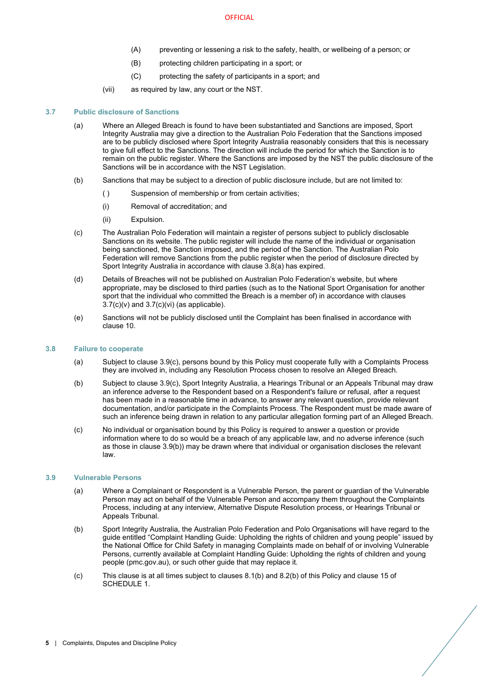- (A) preventing or lessening a risk to the safety, health, or wellbeing of a person; or
- (B) protecting children participating in a sport; or
- (C) protecting the safety of participants in a sport; and
- (vii) as required by law, any court or the NST.

## <span id="page-7-3"></span><span id="page-7-0"></span>**3.7 Public disclosure of Sanctions**

- (a) Where an Alleged Breach is found to have been substantiated and Sanctions are imposed, Sport Integrity Australia may give a direction to the Australian Polo Federation that the Sanctions imposed are to be publicly disclosed where Sport Integrity Australia reasonably considers that this is necessary to give full effect to the Sanctions. The direction will include the period for which the Sanction is to remain on the public register. Where the Sanctions are imposed by the NST the public disclosure of the Sanctions will be in accordance with the NST Legislation.
- (b) Sanctions that may be subject to a direction of public disclosure include, but are not limited to:
	- ( ) Suspension of membership or from certain activities;
	- (i) Removal of accreditation; and
	- (ii) Expulsion.
- <span id="page-7-6"></span>(c) The Australian Polo Federation will maintain a register of persons subject to publicly disclosable Sanctions on its website. The public register will include the name of the individual or organisation being sanctioned, the Sanction imposed, and the period of the Sanction. The Australian Polo Federation will remove Sanctions from the public register when the period of disclosure directed by Sport Integrity Australia in accordance with clause [3.8](#page-7-0)[\(a\)](#page-7-3) has expired.
- (d) Details of Breaches will not be published on Australian Polo Federation's website, but where appropriate, may be disclosed to third parties (such as to the National Sport Organisation for another sport that the individual who committed the Breach is a member of) in accordance with clauses  $3.7(c)(v)$  $3.7(c)(v)$  and  $3.7(c)(vi)$  $3.7(c)(vi)$  (as applicable).
- (e) Sanctions will not be publicly disclosed until the Complaint has been finalised in accordance with clause [10.](#page-18-0)

## <span id="page-7-1"></span>**3.8 Failure to cooperate**

- (a) Subject to clause [3.9](#page-7-1)[\(c\),](#page-7-4) persons bound by this Policy must cooperate fully with a Complaints Process they are involved in, including any Resolution Process chosen to resolve an Alleged Breach.
- <span id="page-7-5"></span>(b) Subject to clause [3.9](#page-7-1)[\(c\),](#page-7-4) Sport Integrity Australia, a Hearings Tribunal or an Appeals Tribunal may draw an inference adverse to the Respondent based on a Respondent's failure or refusal, after a request has been made in a reasonable time in advance, to answer any relevant question, provide relevant documentation, and/or participate in the Complaints Process. The Respondent must be made aware of such an inference being drawn in relation to any particular allegation forming part of an Alleged Breach.
- <span id="page-7-4"></span>(c) No individual or organisation bound by this Policy is required to answer a question or provide information where to do so would be a breach of any applicable law, and no adverse inference (such as those in clause [3.9](#page-7-1)[\(b\)\)](#page-7-5) may be drawn where that individual or organisation discloses the relevant law.

#### <span id="page-7-2"></span>**3.9 Vulnerable Persons**

- (a) Where a Complainant or Respondent is a Vulnerable Person, the parent or guardian of the Vulnerable Person may act on behalf of the Vulnerable Person and accompany them throughout the Complaints Process, including at any interview, Alternative Dispute Resolution process, or Hearings Tribunal or Appeals Tribunal.
- (b) Sport Integrity Australia, the Australian Polo Federation and Polo Organisations will have regard to the guide entitled "Complaint Handling Guide: Upholding the rights of children and young people" issued by the National Office for Child Safety in managing Complaints made on behalf of or involving Vulnerable Persons, currently available a[t Complaint Handling Guide: Upholding the rights of children and young](https://childsafety.pmc.gov.au/sites/default/files/2020-09/nocs-complaint-handling-guide.pdf)  [people \(pmc.gov.au\),](https://childsafety.pmc.gov.au/sites/default/files/2020-09/nocs-complaint-handling-guide.pdf) or such other guide that may replace it.
- (c) This clause is at all times subject to clauses [8.1\(b\)](#page-15-4) an[d 8.2\(b\)](#page-15-5) of this Policy and clause 15 of [SCHEDULE 1.](#page-20-0)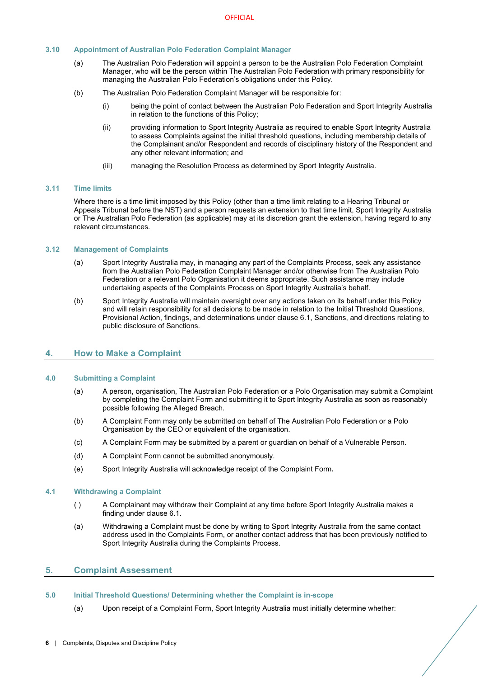## <span id="page-8-0"></span>**3.10 Appointment of Australian Polo Federation Complaint Manager**

- (a) The Australian Polo Federation will appoint a person to be the Australian Polo Federation Complaint Manager, who will be the person within The Australian Polo Federation with primary responsibility for managing the Australian Polo Federation's obligations under this Policy.
- (b) The Australian Polo Federation Complaint Manager will be responsible for:
	- (i) being the point of contact between the Australian Polo Federation and Sport Integrity Australia in relation to the functions of this Policy;
	- (ii) providing information to Sport Integrity Australia as required to enable Sport Integrity Australia to assess Complaints against the initial threshold questions, including membership details of the Complainant and/or Respondent and records of disciplinary history of the Respondent and any other relevant information; and
	- (iii) managing the Resolution Process as determined by Sport Integrity Australia.

#### <span id="page-8-1"></span>**3.11 Time limits**

Where there is a time limit imposed by this Policy (other than a time limit relating to a Hearing Tribunal or Appeals Tribunal before the NST) and a person requests an extension to that time limit, Sport Integrity Australia or The Australian Polo Federation (as applicable) may at its discretion grant the extension, having regard to any relevant circumstances.

#### <span id="page-8-2"></span>**3.12 Management of Complaints**

- (a) Sport Integrity Australia may, in managing any part of the Complaints Process, seek any assistance from the Australian Polo Federation Complaint Manager and/or otherwise from The Australian Polo Federation or a relevant Polo Organisation it deems appropriate. Such assistance may include undertaking aspects of the Complaints Process on Sport Integrity Australia's behalf.
- (b) Sport Integrity Australia will maintain oversight over any actions taken on its behalf under this Policy and will retain responsibility for all decisions to be made in relation to the Initial Threshold Questions, Provisional Action, findings, and determinations under clause [6.1,](#page-12-2) Sanctions, and directions relating to public disclosure of Sanctions.

# <span id="page-8-3"></span>**4. How to Make a Complaint**

## <span id="page-8-4"></span>**4.0 Submitting a Complaint**

- (a) A person, organisation, The Australian Polo Federation or a Polo Organisation may submit a Complaint by completing the Complaint Form and submitting it to Sport Integrity Australia as soon as reasonably possible following the Alleged Breach.
- (b) A Complaint Form may only be submitted on behalf of The Australian Polo Federation or a Polo Organisation by the CEO or equivalent of the organisation.
- (c) A Complaint Form may be submitted by a parent or guardian on behalf of a Vulnerable Person.
- (d) A Complaint Form cannot be submitted anonymously.
- (e) Sport Integrity Australia will acknowledge receipt of the Complaint Form**.**

#### <span id="page-8-5"></span>**4.1 Withdrawing a Complaint**

- ( ) A Complainant may withdraw their Complaint at any time before Sport Integrity Australia makes a finding under claus[e 6.1.](#page-12-2)
- (a) Withdrawing a Complaint must be done by writing to Sport Integrity Australia from the same contact address used in the Complaints Form, or another contact address that has been previously notified to Sport Integrity Australia during the Complaints Process.

## <span id="page-8-6"></span>**5. Complaint Assessment**

#### <span id="page-8-7"></span>**5.0 Initial Threshold Questions/ Determining whether the Complaint is in-scope**

(a) Upon receipt of a Complaint Form, Sport Integrity Australia must initially determine whether: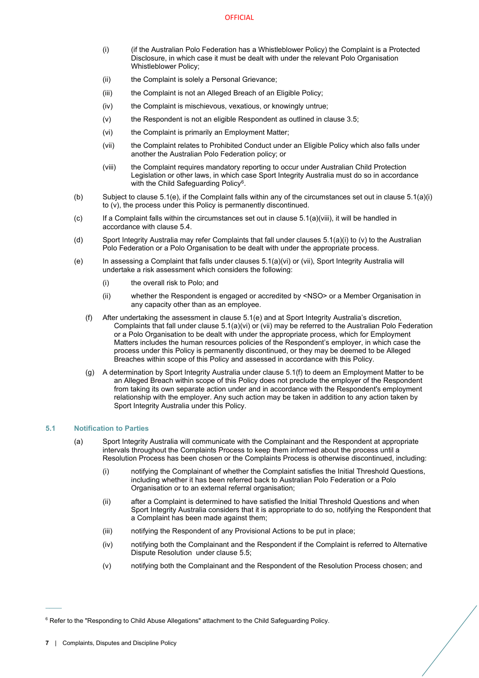- <span id="page-9-1"></span>(i) (if the Australian Polo Federation has a Whistleblower Policy) the Complaint is a Protected Disclosure, in which case it must be dealt with under the relevant Polo Organisation Whistleblower Policy;
- (ii) the Complaint is solely a Personal Grievance;
- (iii) the Complaint is not an Alleged Breach of an Eligible Policy;
- (iv) the Complaint is mischievous, vexatious, or knowingly untrue;
- <span id="page-9-2"></span>(v) the Respondent is not an eligible Respondent as outlined in clause [3.5;](#page-5-5)
- <span id="page-9-4"></span>(vi) the Complaint is primarily an Employment Matter;
- <span id="page-9-5"></span>(vii) the Complaint relates to Prohibited Conduct under an Eligible Policy which also falls under another the Australian Polo Federation policy; or
- (viii) the Complaint requires mandatory reporting to occur under Australian Child Protection Legislation or other laws, in which case Sport Integrity Australia must do so in accordance with the Child Safeguarding Policy<sup>[6](#page-9-6)</sup>.
- <span id="page-9-3"></span>(b) Subject to clause 5.1(e), if the Complaint falls within any of the circumstances set out in clause [5.1\(a\)\(i\)](#page-9-1) t[o \(v\),](#page-9-2) the process under this Policy is permanently discontinued.
- $(c)$  If a Complaint falls within the circumstances set out in clause  $5.1(a)(viii)$ , it will be handled in accordance with claus[e 5.4.](#page-10-1)
- (d) Sport Integrity Australia may refer Complaints that fall under clause[s 5.1\(a\)\(i\)](#page-9-1) t[o \(v\)](#page-9-2) to the Australian Polo Federation or a Polo Organisation to be dealt with under the appropriate process.
- (e) In assessing a Complaint that falls under clauses 5.1(a)(vi) or (vii), Sport Integrity Australia will undertake a risk assessment which considers the following:
	- (i) the overall risk to Polo; and
	- (ii) whether the Respondent is engaged or accredited by <NSO> or a Member Organisation in any capacity other than as an employee.
	- (f) After undertaking the assessment in clause 5.1(e) and at Sport Integrity Australia's discretion, Complaints that fall under clause [5.1\(a\)\(vi\)](#page-9-4) or [\(vii\)](#page-9-5) may be referred to the Australian Polo Federation or a Polo Organisation to be dealt with under the appropriate process, which for Employment Matters includes the human resources policies of the Respondent's employer, in which case the process under this Policy is permanently discontinued, or they may be deemed to be Alleged Breaches within scope of this Policy and assessed in accordance with this Policy.
	- (g) A determination by Sport Integrity Australia under clause 5.1(f) to deem an Employment Matter to be an Alleged Breach within scope of this Policy does not preclude the employer of the Respondent from taking its own separate action under and in accordance with the Respondent's employment relationship with the employer. Any such action may be taken in addition to any action taken by Sport Integrity Australia under this Policy.

## <span id="page-9-0"></span>**5.1 Notification to Parties**

- (a) Sport Integrity Australia will communicate with the Complainant and the Respondent at appropriate intervals throughout the Complaints Process to keep them informed about the process until a Resolution Process has been chosen or the Complaints Process is otherwise discontinued, including:
	- (i) notifying the Complainant of whether the Complaint satisfies the Initial Threshold Questions, including whether it has been referred back to Australian Polo Federation or a Polo Organisation or to an external referral organisation;
	- (ii) after a Complaint is determined to have satisfied the Initial Threshold Questions and when Sport Integrity Australia considers that it is appropriate to do so, notifying the Respondent that a Complaint has been made against them;
	- (iii) notifying the Respondent of any Provisional Actions to be put in place;
	- (iv) notifying both the Complainant and the Respondent if the Complaint is referred to Alternative Dispute Resolution under clause [5.5;](#page-10-2)
	- (v) notifying both the Complainant and the Respondent of the Resolution Process chosen; and

 $\overline{\phantom{a}}$ 

<span id="page-9-6"></span><sup>&</sup>lt;sup>6</sup> Refer to the "Responding to Child Abuse Allegations" attachment to the Child Safeguarding Policy.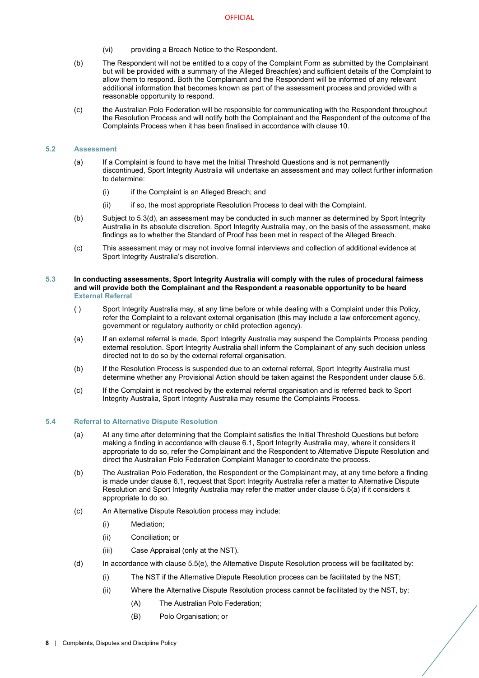- (vi) providing a Breach Notice to the Respondent.
- (b) The Respondent will not be entitled to a copy of the Complaint Form as submitted by the Complainant but will be provided with a summary of the Alleged Breach(es) and sufficient details of the Complaint to allow them to respond. Both the Complainant and the Respondent will be informed of any relevant additional information that becomes known as part of the assessment process and provided with a reasonable opportunity to respond.
- (c) the Australian Polo Federation will be responsible for communicating with the Respondent throughout the Resolution Process and will notify both the Complainant and the Respondent of the outcome of the Complaints Process when it has been finalised in accordance with clause [10.](#page-18-0)

#### <span id="page-10-0"></span>**5.2 Assessment**

- (a) If a Complaint is found to have met the Initial Threshold Questions and is not permanently discontinued, Sport Integrity Australia will undertake an assessment and may collect further information to determine:
	- (i) if the Complaint is an Alleged Breach; and
	- (ii) if so, the most appropriate Resolution Process to deal with the Complaint.
- (b) Subject to 5.3(d), an assessment may be conducted in such manner as determined by Sport Integrity Australia in its absolute discretion. Sport Integrity Australia may, on the basis of the assessment, make findings as to whether the Standard of Proof has been met in respect of the Alleged Breach.
- (c) This assessment may or may not involve formal interviews and collection of additional evidence at Sport Integrity Australia's discretion.

## <span id="page-10-1"></span>**5.3 In conducting assessments, Sport Integrity Australia will comply with the rules of procedural fairness and will provide both the Complainant and the Respondent a reasonable opportunity to be heard External Referral**

- ( ) Sport Integrity Australia may, at any time before or while dealing with a Complaint under this Policy, refer the Complaint to a relevant external organisation (this may include a law enforcement agency, government or regulatory authority or child protection agency).
- (a) If an external referral is made, Sport Integrity Australia may suspend the Complaints Process pending external resolution. Sport Integrity Australia shall inform the Complainant of any such decision unless directed not to do so by the external referral organisation.
- (b) If the Resolution Process is suspended due to an external referral, Sport Integrity Australia must determine whether any Provisional Action should be taken against the Respondent under clause [5.6.](#page-11-0)
- (c) If the Complaint is not resolved by the external referral organisation and is referred back to Sport Integrity Australia, Sport Integrity Australia may resume the Complaints Process.

#### <span id="page-10-3"></span><span id="page-10-2"></span>**5.4 Referral to Alternative Dispute Resolution**

- (a) At any time after determining that the Complaint satisfies the Initial Threshold Questions but before making a finding in accordance with clause 6.1, Sport Integrity Australia may, where it considers it appropriate to do so, refer the Complainant and the Respondent to Alternative Dispute Resolution and direct the Australian Polo Federation Complaint Manager to coordinate the process.
- (b) The Australian Polo Federation, the Respondent or the Complainant may, at any time before a finding is made under claus[e 6.1,](#page-12-2) request that Sport Integrity Australia refer a matter to Alternative Dispute Resolution and Sport Integrity Australia may refer the matter under claus[e 5.5\(a\)](#page-10-3) if it considers it appropriate to do so.
- (c) An Alternative Dispute Resolution process may include:
	- (i) Mediation;
	- (ii) Conciliation; or
	- (iii) Case Appraisal (only at the NST).
- (d) In accordance with claus[e 5.5](#page-10-2)[\(e\),](#page-11-1) the Alternative Dispute Resolution process will be facilitated by:
	- (i) The NST if the Alternative Dispute Resolution process can be facilitated by the NST;
	- (ii) Where the Alternative Dispute Resolution process cannot be facilitated by the NST, by:
		- (A) The Australian Polo Federation;
		- (B) Polo Organisation; or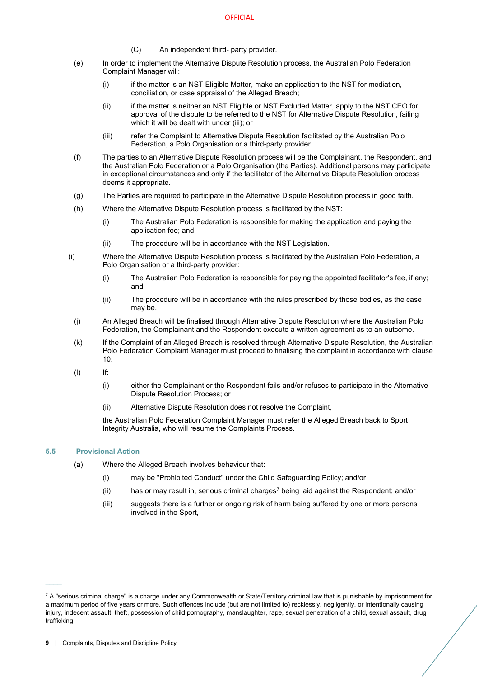- (C) An independent third- party provider.
- <span id="page-11-1"></span>(e) In order to implement the Alternative Dispute Resolution process, the Australian Polo Federation Complaint Manager will:
	- (i) if the matter is an NST Eligible Matter, make an application to the NST for mediation, conciliation, or case appraisal of the Alleged Breach;
	- (ii) if the matter is neither an NST Eligible or NST Excluded Matter, apply to the NST CEO for approval of the dispute to be referred to the NST for Alternative Dispute Resolution, failing which it will be dealt with under (iii); or
	- (iii) refer the Complaint to Alternative Dispute Resolution facilitated by the Australian Polo Federation, a Polo Organisation or a third-party provider.
- (f) The parties to an Alternative Dispute Resolution process will be the Complainant, the Respondent, and the Australian Polo Federation or a Polo Organisation (the Parties). Additional persons may participate in exceptional circumstances and only if the facilitator of the Alternative Dispute Resolution process deems it appropriate.
- (g) The Parties are required to participate in the Alternative Dispute Resolution process in good faith.
- (h) Where the Alternative Dispute Resolution process is facilitated by the NST:
	- (i) The Australian Polo Federation is responsible for making the application and paying the application fee; and
	- (ii) The procedure will be in accordance with the NST Legislation.
- (i) Where the Alternative Dispute Resolution process is facilitated by the Australian Polo Federation, a Polo Organisation or a third-party provider:
	- (i) The Australian Polo Federation is responsible for paying the appointed facilitator's fee, if any; and
	- (ii) The procedure will be in accordance with the rules prescribed by those bodies, as the case may be.
	- (j) An Alleged Breach will be finalised through Alternative Dispute Resolution where the Australian Polo Federation, the Complainant and the Respondent execute a written agreement as to an outcome.
	- (k) If the Complaint of an Alleged Breach is resolved through Alternative Dispute Resolution, the Australian Polo Federation Complaint Manager must proceed to finalising the complaint in accordance with clause [10.](#page-18-0)
	- $(I)$  If:
		- (i) either the Complainant or the Respondent fails and/or refuses to participate in the Alternative Dispute Resolution Process; or
		- (ii) Alternative Dispute Resolution does not resolve the Complaint,

the Australian Polo Federation Complaint Manager must refer the Alleged Breach back to Sport Integrity Australia, who will resume the Complaints Process.

## **5.5 Provisional Action**

 $\mathcal{L}^{\mathcal{L}}$ 

- <span id="page-11-0"></span>(a) Where the Alleged Breach involves behaviour that:
	- (i) may be "Prohibited Conduct" under the Child Safeguarding Policy; and/or
	- (ii) has or may result in, serious criminal charges<sup>[7](#page-11-2)</sup> being laid against the Respondent; and/or
	- (iii) suggests there is a further or ongoing risk of harm being suffered by one or more persons involved in the Sport,

<span id="page-11-2"></span> $7$  A "serious criminal charge" is a charge under any Commonwealth or State/Territory criminal law that is punishable by imprisonment for a maximum period of five years or more. Such offences include (but are not limited to) recklessly, negligently, or intentionally causing injury, indecent assault, theft, possession of child pornography, manslaughter, rape, sexual penetration of a child, sexual assault, drug trafficking,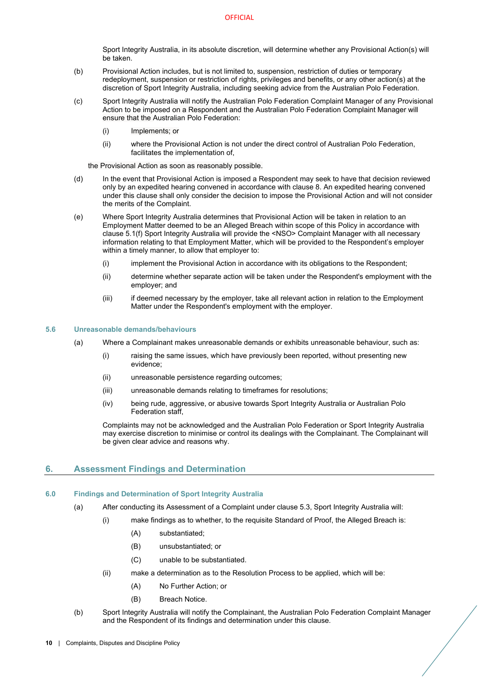Sport Integrity Australia, in its absolute discretion, will determine whether any Provisional Action(s) will be taken.

- (b) Provisional Action includes, but is not limited to, suspension, restriction of duties or temporary redeployment, suspension or restriction of rights, privileges and benefits, or any other action(s) at the discretion of Sport Integrity Australia, including seeking advice from the Australian Polo Federation.
- (c) Sport Integrity Australia will notify the Australian Polo Federation Complaint Manager of any Provisional Action to be imposed on a Respondent and the Australian Polo Federation Complaint Manager will ensure that the Australian Polo Federation:
	- (i) Implements; or
	- (ii) where the Provisional Action is not under the direct control of Australian Polo Federation, facilitates the implementation of,

the Provisional Action as soon as reasonably possible.

- (d) In the event that Provisional Action is imposed a Respondent may seek to have that decision reviewed only by an expedited hearing convened in accordance with clause 8. An expedited hearing convened under this clause shall only consider the decision to impose the Provisional Action and will not consider the merits of the Complaint.
- (e) Where Sport Integrity Australia determines that Provisional Action will be taken in relation to an Employment Matter deemed to be an Alleged Breach within scope of this Policy in accordance with clause 5.1(f) Sport Integrity Australia will provide the <NSO> Complaint Manager with all necessary information relating to that Employment Matter, which will be provided to the Respondent's employer within a timely manner, to allow that employer to:
	- (i) implement the Provisional Action in accordance with its obligations to the Respondent;
	- (ii) determine whether separate action will be taken under the Respondent's employment with the employer; and
	- (iii) if deemed necessary by the employer, take all relevant action in relation to the Employment Matter under the Respondent's employment with the employer.

#### <span id="page-12-0"></span>**5.6 Unreasonable demands/behaviours**

- (a) Where a Complainant makes unreasonable demands or exhibits unreasonable behaviour, such as:
	- (i) raising the same issues, which have previously been reported, without presenting new evidence;
	- (ii) unreasonable persistence regarding outcomes;
	- (iii) unreasonable demands relating to timeframes for resolutions;
	- (iv) being rude, aggressive, or abusive towards Sport Integrity Australia or Australian Polo Federation staff,

Complaints may not be acknowledged and the Australian Polo Federation or Sport Integrity Australia may exercise discretion to minimise or control its dealings with the Complainant. The Complainant will be given clear advice and reasons why.

# <span id="page-12-1"></span>**6. Assessment Findings and Determination**

## <span id="page-12-2"></span>**6.0 Findings and Determination of Sport Integrity Australia**

- (a) After conducting its Assessment of a Complaint under claus[e 5.3,](#page-10-0) Sport Integrity Australia will:
	- (i) make findings as to whether, to the requisite Standard of Proof, the Alleged Breach is:
		- (A) substantiated;
		- (B) unsubstantiated; or
		- (C) unable to be substantiated.
		- (ii) make a determination as to the Resolution Process to be applied, which will be:
			- (A) No Further Action; or
			- (B) Breach Notice.
- <span id="page-12-4"></span><span id="page-12-3"></span>(b) Sport Integrity Australia will notify the Complainant, the Australian Polo Federation Complaint Manager and the Respondent of its findings and determination under this clause.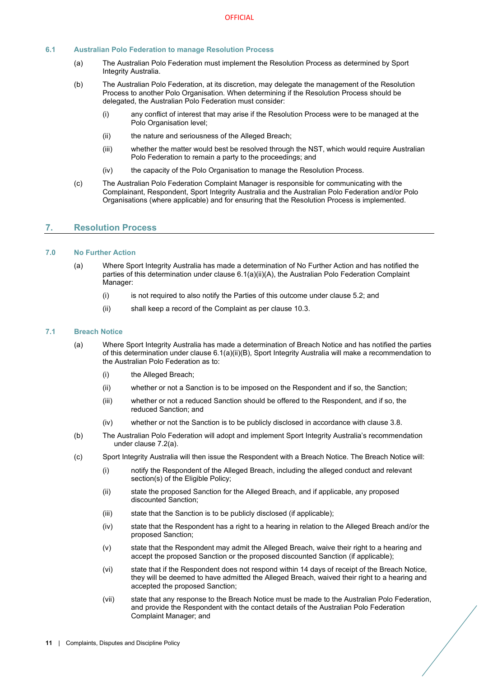## <span id="page-13-0"></span>**6.1 Australian Polo Federation to manage Resolution Process**

- (a) The Australian Polo Federation must implement the Resolution Process as determined by Sport Integrity Australia.
- <span id="page-13-5"></span>(b) The Australian Polo Federation, at its discretion, may delegate the management of the Resolution Process to another Polo Organisation. When determining if the Resolution Process should be delegated, the Australian Polo Federation must consider:
	- (i) any conflict of interest that may arise if the Resolution Process were to be managed at the Polo Organisation level;
	- (ii) the nature and seriousness of the Alleged Breach;
	- (iii) whether the matter would best be resolved through the NST, which would require Australian Polo Federation to remain a party to the proceedings; and
	- (iv) the capacity of the Polo Organisation to manage the Resolution Process.
- (c) The Australian Polo Federation Complaint Manager is responsible for communicating with the Complainant, Respondent, Sport Integrity Australia and the Australian Polo Federation and/or Polo Organisations (where applicable) and for ensuring that the Resolution Process is implemented.

## <span id="page-13-1"></span>**7. Resolution Process**

## <span id="page-13-2"></span>**7.0 No Further Action**

- (a) Where Sport Integrity Australia has made a determination of No Further Action and has notified the parties of this determination under claus[e 6.1\(a\)\(ii\)\(A\),](#page-12-3) the Australian Polo Federation Complaint Manager:
	- (i) is not required to also notify the Parties of this outcome under claus[e 5.2;](#page-9-0) and
	- (ii) shall keep a record of the Complaint as per claus[e 10.3.](#page-18-3)

#### <span id="page-13-4"></span><span id="page-13-3"></span>**7.1 Breach Notice**

- (a) Where Sport Integrity Australia has made a determination of Breach Notice and has notified the parties of this determination under clause [6.1\(a\)\(ii\)\(B\),](#page-12-4) Sport Integrity Australia will make a recommendation to the Australian Polo Federation as to:
	- (i) the Alleged Breach;
	- (ii) whether or not a Sanction is to be imposed on the Respondent and if so, the Sanction;
	- (iii) whether or not a reduced Sanction should be offered to the Respondent, and if so, the reduced Sanction; and
	- (iv) whether or not the Sanction is to be publicly disclosed in accordance with clause [3.8.](#page-7-0)
- (b) The Australian Polo Federation will adopt and implement Sport Integrity Australia's recommendation under clause [7.2\(a\).](#page-13-4)
- (c) Sport Integrity Australia will then issue the Respondent with a Breach Notice. The Breach Notice will:
	- (i) notify the Respondent of the Alleged Breach, including the alleged conduct and relevant section(s) of the Eligible Policy;
	- (ii) state the proposed Sanction for the Alleged Breach, and if applicable, any proposed discounted Sanction;
	- (iii) state that the Sanction is to be publicly disclosed (if applicable);
	- (iv) state that the Respondent has a right to a hearing in relation to the Alleged Breach and/or the proposed Sanction;
	- (v) state that the Respondent may admit the Alleged Breach, waive their right to a hearing and accept the proposed Sanction or the proposed discounted Sanction (if applicable);
	- (vi) state that if the Respondent does not respond within 14 days of receipt of the Breach Notice, they will be deemed to have admitted the Alleged Breach, waived their right to a hearing and accepted the proposed Sanction;
	- (vii) state that any response to the Breach Notice must be made to the Australian Polo Federation, and provide the Respondent with the contact details of the Australian Polo Federation Complaint Manager; and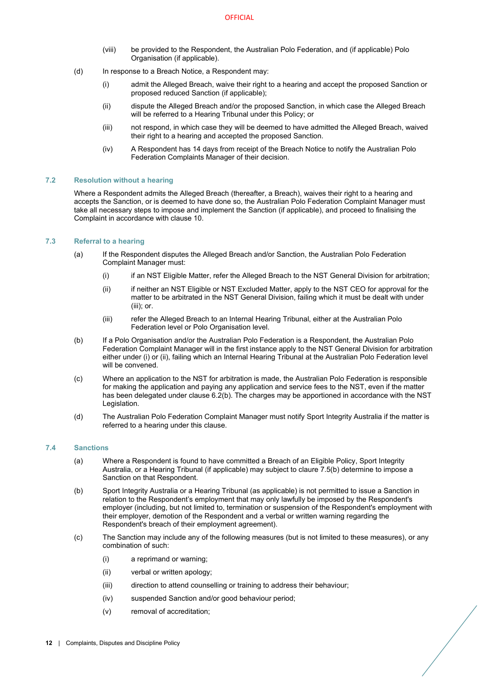- (viii) be provided to the Respondent, the Australian Polo Federation, and (if applicable) Polo Organisation (if applicable).
- <span id="page-14-3"></span>(d) In response to a Breach Notice, a Respondent may:
	- (i) admit the Alleged Breach, waive their right to a hearing and accept the proposed Sanction or proposed reduced Sanction (if applicable);
	- (ii) dispute the Alleged Breach and/or the proposed Sanction, in which case the Alleged Breach will be referred to a Hearing Tribunal under this Policy; or
	- (iii) not respond, in which case they will be deemed to have admitted the Alleged Breach, waived their right to a hearing and accepted the proposed Sanction.
	- (iv) A Respondent has 14 days from receipt of the Breach Notice to notify the Australian Polo Federation Complaints Manager of their decision.

## <span id="page-14-0"></span>**7.2 Resolution without a hearing**

Where a Respondent admits the Alleged Breach (thereafter, a Breach), waives their right to a hearing and accepts the Sanction, or is deemed to have done so, the Australian Polo Federation Complaint Manager must take all necessary steps to impose and implement the Sanction (if applicable), and proceed to finalising the Complaint in accordance with claus[e 10.](#page-18-0)

#### <span id="page-14-1"></span>**7.3 Referral to a hearing**

- (a) If the Respondent disputes the Alleged Breach and/or Sanction, the Australian Polo Federation Complaint Manager must:
	- (i) if an NST Eligible Matter, refer the Alleged Breach to the NST General Division for arbitration;
	- (ii) if neither an NST Eligible or NST Excluded Matter, apply to the NST CEO for approval for the matter to be arbitrated in the NST General Division, failing which it must be dealt with under (iii); or.
	- (iii) refer the Alleged Breach to an Internal Hearing Tribunal, either at the Australian Polo Federation level or Polo Organisation level.
- (b) If a Polo Organisation and/or the Australian Polo Federation is a Respondent, the Australian Polo Federation Complaint Manager will in the first instance apply to the NST General Division for arbitration either under (i) or (ii), failing which an Internal Hearing Tribunal at the Australian Polo Federation level will be convened.
- (c) Where an application to the NST for arbitration is made, the Australian Polo Federation is responsible for making the application and paying any application and service fees to the NST, even if the matter has been delegated under clause [6.2\(b\).](#page-13-5) The charges may be apportioned in accordance with the NST Legislation.
- (d) The Australian Polo Federation Complaint Manager must notify Sport Integrity Australia if the matter is referred to a hearing under this clause.

## <span id="page-14-2"></span>**7.4 Sanctions**

- (a) Where a Respondent is found to have committed a Breach of an Eligible Policy, Sport Integrity Australia, or a Hearing Tribunal (if applicable) may subject to claure 7.5(b) determine to impose a Sanction on that Respondent.
- (b) Sport Integrity Australia or a Hearing Tribunal (as applicable) is not permitted to issue a Sanction in relation to the Respondent's employment that may only lawfully be imposed by the Respondent's employer (including, but not limited to, termination or suspension of the Respondent's employment with their employer, demotion of the Respondent and a verbal or written warning regarding the Respondent's breach of their employment agreement).
- (c) The Sanction may include any of the following measures (but is not limited to these measures), or any combination of such:
	- (i) a reprimand or warning;
	- (ii) verbal or written apology;
	- (iii) direction to attend counselling or training to address their behaviour;
	- (iv) suspended Sanction and/or good behaviour period;
	- (v) removal of accreditation;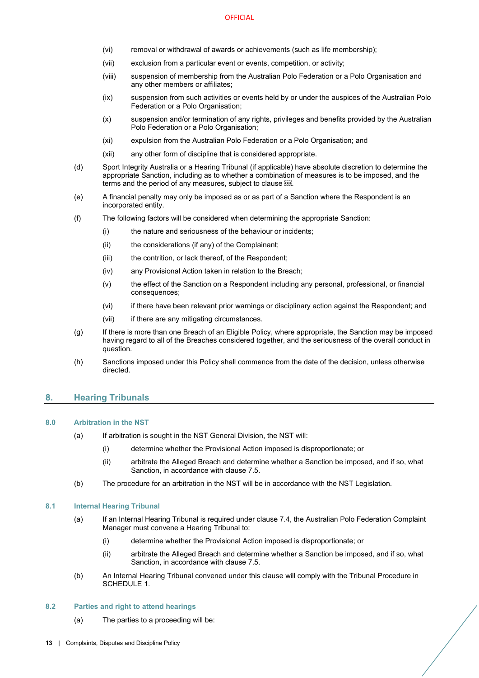- (vi) removal or withdrawal of awards or achievements (such as life membership);
- (vii) exclusion from a particular event or events, competition, or activity;
- (viii) suspension of membership from the Australian Polo Federation or a Polo Organisation and any other members or affiliates;
- (ix) suspension from such activities or events held by or under the auspices of the Australian Polo Federation or a Polo Organisation;
- (x) suspension and/or termination of any rights, privileges and benefits provided by the Australian Polo Federation or a Polo Organisation;
- (xi) expulsion from the Australian Polo Federation or a Polo Organisation; and
- (xii) any other form of discipline that is considered appropriate.
- (d) Sport Integrity Australia or a Hearing Tribunal (if applicable) have absolute discretion to determine the appropriate Sanction, including as to whether a combination of measures is to be imposed, and the terms and the period of any measures, subject to clause .
- <span id="page-15-6"></span>(e) A financial penalty may only be imposed as or as part of a Sanction where the Respondent is an incorporated entity.
- (f) The following factors will be considered when determining the appropriate Sanction:
	- (i) the nature and seriousness of the behaviour or incidents;
	- (ii) the considerations (if any) of the Complainant;
	- (iii) the contrition, or lack thereof, of the Respondent;
	- (iv) any Provisional Action taken in relation to the Breach;
	- (v) the effect of the Sanction on a Respondent including any personal, professional, or financial consequences;
	- (vi) if there have been relevant prior warnings or disciplinary action against the Respondent; and
	- (vii) if there are any mitigating circumstances.
- (g) If there is more than one Breach of an Eligible Policy, where appropriate, the Sanction may be imposed having regard to all of the Breaches considered together, and the seriousness of the overall conduct in question.
- (h) Sanctions imposed under this Policy shall commence from the date of the decision, unless otherwise directed.

# <span id="page-15-0"></span>**8. Hearing Tribunals**

## <span id="page-15-9"></span><span id="page-15-1"></span>**8.0 Arbitration in the NST**

- (a) If arbitration is sought in the NST General Division, the NST will:
	- (i) determine whether the Provisional Action imposed is disproportionate; or
	- (ii) arbitrate the Alleged Breach and determine whether a Sanction be imposed, and if so, what Sanction, in accordance with claus[e 7.5.](#page-14-2)
- <span id="page-15-7"></span>(b) The procedure for an arbitration in the NST will be in accordance with the NST Legislation.

## <span id="page-15-10"></span><span id="page-15-4"></span><span id="page-15-2"></span>**8.1 Internal Hearing Tribunal**

- (a) If an Internal Hearing Tribunal is required under claus[e 7.4,](#page-14-1) the Australian Polo Federation Complaint Manager must convene a Hearing Tribunal to:
	- (i) determine whether the Provisional Action imposed is disproportionate; or
	- (ii) arbitrate the Alleged Breach and determine whether a Sanction be imposed, and if so, what Sanction, in accordance with claus[e 7.5.](#page-14-2)
- <span id="page-15-8"></span><span id="page-15-5"></span>(b) An Internal Hearing Tribunal convened under this clause will comply with the Tribunal Procedure in [SCHEDULE 1.](#page-20-0)

## <span id="page-15-3"></span>**8.2 Parties and right to attend hearings**

(a) The parties to a proceeding will be: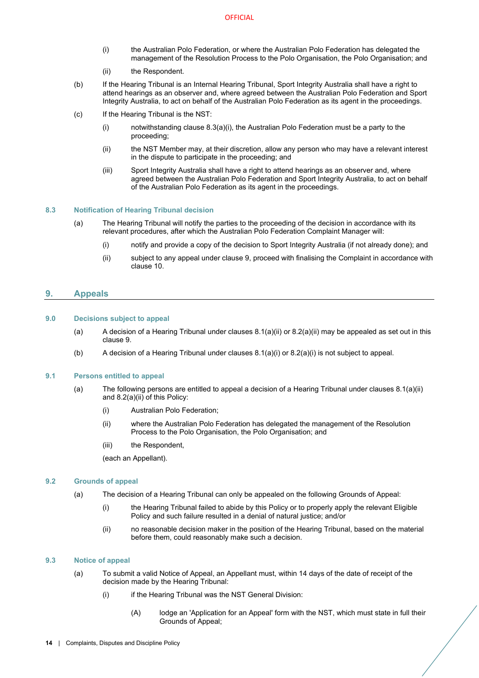- (i) the Australian Polo Federation, or where the Australian Polo Federation has delegated the management of the Resolution Process to the Polo Organisation, the Polo Organisation; and
- (ii) the Respondent.
- <span id="page-16-6"></span>(b) If the Hearing Tribunal is an Internal Hearing Tribunal, Sport Integrity Australia shall have a right to attend hearings as an observer and, where agreed between the Australian Polo Federation and Sport Integrity Australia, to act on behalf of the Australian Polo Federation as its agent in the proceedings.
- (c) If the Hearing Tribunal is the NST:
	- (i) notwithstanding claus[e 8.3\(a\)\(i\),](#page-16-6) the Australian Polo Federation must be a party to the proceeding;
	- (ii) the NST Member may, at their discretion, allow any person who may have a relevant interest in the dispute to participate in the proceeding; and
	- (iii) Sport Integrity Australia shall have a right to attend hearings as an observer and, where agreed between the Australian Polo Federation and Sport Integrity Australia, to act on behalf of the Australian Polo Federation as its agent in the proceedings.

## <span id="page-16-0"></span>**8.3 Notification of Hearing Tribunal decision**

- (a) The Hearing Tribunal will notify the parties to the proceeding of the decision in accordance with its relevant procedures, after which the Australian Polo Federation Complaint Manager will:
	- (i) notify and provide a copy of the decision to Sport Integrity Australia (if not already done); and
	- (ii) subject to any appeal under claus[e 9,](#page-16-1) proceed with finalising the Complaint in accordance with claus[e 10.](#page-18-0)

# <span id="page-16-1"></span>**9. Appeals**

## <span id="page-16-2"></span>**9.0 Decisions subject to appeal**

- (a) A decision of a Hearing Tribunal under clauses  $8.1(a)(ii)$  or  $8.2(a)(ii)$  may be appealed as set out in this clause [9.](#page-16-1)
- (b) A decision of a Hearing Tribunal under clause[s 8.1\(a\)\(i\)](#page-15-9) or [8.2\(a\)\(i\)](#page-15-10) is not subject to appeal.

# <span id="page-16-3"></span>**9.1 Persons entitled to appeal**

- (a) The following persons are entitled to appeal a decision of a Hearing Tribunal under clauses [8.1\(a\)\(ii\)](#page-15-7) and [8.2\(a\)\(ii\)](#page-15-8) of this Policy:
	- (i) Australian Polo Federation;
	- (ii) where the Australian Polo Federation has delegated the management of the Resolution Process to the Polo Organisation, the Polo Organisation; and
	- (iii) the Respondent,

(each an Appellant).

## <span id="page-16-7"></span><span id="page-16-4"></span>**9.2 Grounds of appeal**

- (a) The decision of a Hearing Tribunal can only be appealed on the following Grounds of Appeal:
	- (i) the Hearing Tribunal failed to abide by this Policy or to properly apply the relevant Eligible Policy and such failure resulted in a denial of natural justice; and/or
	- (ii) no reasonable decision maker in the position of the Hearing Tribunal, based on the material before them, could reasonably make such a decision.

## <span id="page-16-5"></span>**9.3 Notice of appeal**

- (a) To submit a valid Notice of Appeal, an Appellant must, within 14 days of the date of receipt of the decision made by the Hearing Tribunal:
	- (i) if the Hearing Tribunal was the NST General Division:
		- (A) lodge an 'Application for an Appeal' form with the NST, which must state in full their Grounds of Appeal;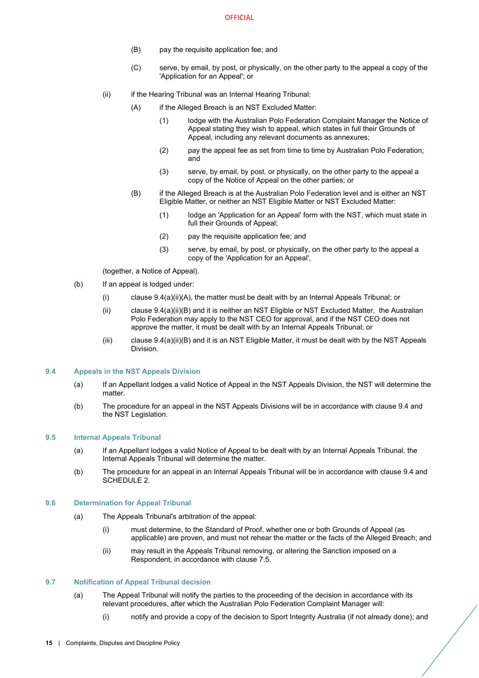- (B) pay the requisite application fee; and
- (C) serve, by email, by post, or physically, on the other party to the appeal a copy of the 'Application for an Appeal'; or
- <span id="page-17-4"></span>(ii) if the Hearing Tribunal was an Internal Hearing Tribunal:
	- (A) if the Alleged Breach is an NST Excluded Matter:
		- (1) lodge with the Australian Polo Federation Complaint Manager the Notice of Appeal stating they wish to appeal, which states in full their Grounds of Appeal, including any relevant documents as annexures;
		- (2) pay the appeal fee as set from time to time by Australian Polo Federation; and
		- (3) serve, by email, by post, or physically, on the other party to the appeal a copy of the Notice of Appeal on the other parties; or
	- (B) if the Alleged Breach is at the Australian Polo Federation level and is either an NST Eligible Matter, or neither an NST Eligible Matter or NST Excluded Matter:
		- (1) lodge an 'Application for an Appeal' form with the NST, which must state in full their Grounds of Appeal;
		- (2) pay the requisite application fee; and
		- (3) serve, by email, by post, or physically, on the other party to the appeal a copy of the 'Application for an Appeal',

(together, a Notice of Appeal).

- <span id="page-17-5"></span>(b) If an appeal is lodged under:
	- (i) clause  $9.4(a)(ii)(A)$ , the matter must be dealt with by an Internal Appeals Tribunal; or
	- (ii) claus[e 9.4\(a\)\(ii\)\(B\)](#page-17-5) and it is neither an NST Eligible or NST Excluded Matter, the Australian Polo Federation may apply to the NST CEO for approval, and if the NST CEO does not approve the matter, it must be dealt with by an Internal Appeals Tribunal; or
	- (iii) claus[e 9.4\(a\)\(ii\)\(B\)](#page-17-5) and it is an NST Eligible Matter, it must be dealt with by the NST Appeals Division.

#### <span id="page-17-0"></span>**9.4 Appeals in the NST Appeals Division**

- (a) If an Appellant lodges a valid Notice of Appeal in the NST Appeals Division, the NST will determine the matter.
- (b) The procedure for an appeal in the NST Appeals Divisions will be in accordance with clause [9.4](#page-16-5) and the NST Legislation.

#### <span id="page-17-1"></span>**9.5 Internal Appeals Tribunal**

- (a) If an Appellant lodges a valid Notice of Appeal to be dealt with by an Internal Appeals Tribunal, the Internal Appeals Tribunal will determine the matter.
- (b) The procedure for an appeal in an Internal Appeals Tribunal will be in accordance with clause [9.4](#page-16-5) and [SCHEDULE 2.](#page-24-0)

#### <span id="page-17-2"></span>**9.6 Determination for Appeal Tribunal**

- (a) The Appeals Tribunal's arbitration of the appeal:
	- (i) must determine, to the Standard of Proof, whether one or both Grounds of Appeal (as applicable) are proven, and must not rehear the matter or the facts of the Alleged Breach; and
	- (ii) may result in the Appeals Tribunal removing, or altering the Sanction imposed on a Respondent, in accordance with clause 7.5.

#### <span id="page-17-3"></span>**9.7 Notification of Appeal Tribunal decision**

- (a) The Appeal Tribunal will notify the parties to the proceeding of the decision in accordance with its relevant procedures, after which the Australian Polo Federation Complaint Manager will:
	- (i) notify and provide a copy of the decision to Sport Integrity Australia (if not already done); and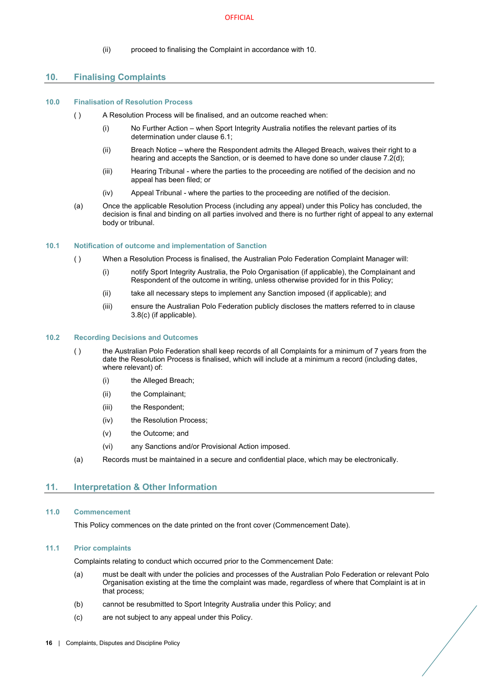(ii) proceed to finalising the Complaint in accordance with 10.

## <span id="page-18-0"></span>**10. Finalising Complaints**

#### <span id="page-18-1"></span>**10.0 Finalisation of Resolution Process**

- ( ) A Resolution Process will be finalised, and an outcome reached when:
	- (i) No Further Action when Sport Integrity Australia notifies the relevant parties of its determination under clause [6.1;](#page-12-2)
	- (ii) Breach Notice where the Respondent admits the Alleged Breach, waives their right to a hearing and accepts the Sanction, or is deemed to have done so under claus[e 7.2\(d\);](#page-14-3)
	- (iii) Hearing Tribunal where the parties to the proceeding are notified of the decision and no appeal has been filed; or
	- (iv) Appeal Tribunal where the parties to the proceeding are notified of the decision.
- (a) Once the applicable Resolution Process (including any appeal) under this Policy has concluded, the decision is final and binding on all parties involved and there is no further right of appeal to any external body or tribunal.

#### <span id="page-18-2"></span>**10.1 Notification of outcome and implementation of Sanction**

- ( ) When a Resolution Process is finalised, the Australian Polo Federation Complaint Manager will:
	- (i) notify Sport Integrity Australia, the Polo Organisation (if applicable), the Complainant and Respondent of the outcome in writing, unless otherwise provided for in this Policy;
	- (ii) take all necessary steps to implement any Sanction imposed (if applicable); and
	- (iii) ensure the Australian Polo Federation publicly discloses the matters referred to in clause [3.8](#page-7-0)[\(c\)](#page-7-6) (if applicable).

#### <span id="page-18-3"></span>**10.2 Recording Decisions and Outcomes**

- ( ) the Australian Polo Federation shall keep records of all Complaints for a minimum of 7 years from the date the Resolution Process is finalised, which will include at a minimum a record (including dates, where relevant) of:
	- (i) the Alleged Breach;
	- (ii) the Complainant;
	- (iii) the Respondent:
	- (iv) the Resolution Process;
	- (v) the Outcome; and
	- (vi) any Sanctions and/or Provisional Action imposed.
- (a) Records must be maintained in a secure and confidential place, which may be electronically.

## <span id="page-18-4"></span>**11. Interpretation & Other Information**

#### <span id="page-18-5"></span>**11.0 Commencement**

This Policy commences on the date printed on the front cover (Commencement Date).

## <span id="page-18-6"></span>**11.1 Prior complaints**

Complaints relating to conduct which occurred prior to the Commencement Date:

- (a) must be dealt with under the policies and processes of the Australian Polo Federation or relevant Polo Organisation existing at the time the complaint was made, regardless of where that Complaint is at in that process;
- (b) cannot be resubmitted to Sport Integrity Australia under this Policy; and
- (c) are not subject to any appeal under this Policy.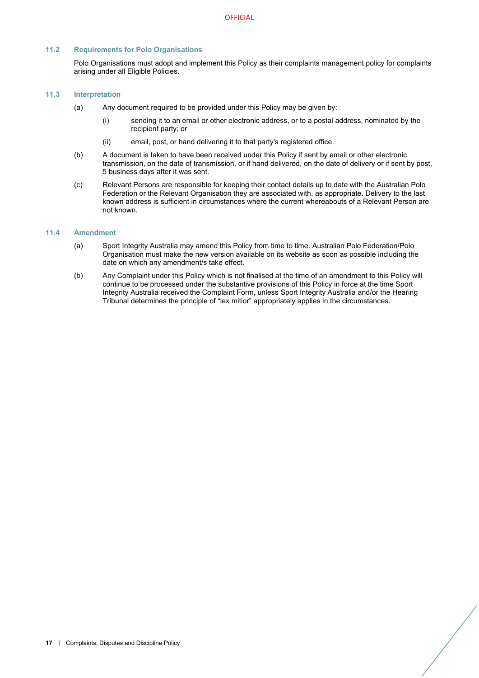# <span id="page-19-0"></span>**11.2 Requirements for Polo Organisations**

Polo Organisations must adopt and implement this Policy as their complaints management policy for complaints arising under all Eligible Policies.

## <span id="page-19-1"></span>**11.3 Interpretation**

- (a) Any document required to be provided under this Policy may be given by:
	- (i) sending it to an email or other electronic address, or to a postal address, nominated by the recipient party; or
	- (ii) email, post, or hand delivering it to that party's registered office.
- (b) A document is taken to have been received under this Policy if sent by email or other electronic transmission, on the date of transmission, or if hand delivered, on the date of delivery or if sent by post, 5 business days after it was sent.
- (c) Relevant Persons are responsible for keeping their contact details up to date with the Australian Polo Federation or the Relevant Organisation they are associated with, as appropriate. Delivery to the last known address is sufficient in circumstances where the current whereabouts of a Relevant Person are not known.

## <span id="page-19-2"></span>**11.4 Amendment**

- (a) Sport Integrity Australia may amend this Policy from time to time. Australian Polo Federation/Polo Organisation must make the new version available on its website as soon as possible including the date on which any amendment/s take effect.
- (b) Any Complaint under this Policy which is not finalised at the time of an amendment to this Policy will continue to be processed under the substantive provisions of this Policy in force at the time Sport Integrity Australia received the Complaint Form, unless Sport Integrity Australia and/or the Hearing Tribunal determines the principle of "lex mitior" appropriately applies in the circumstances.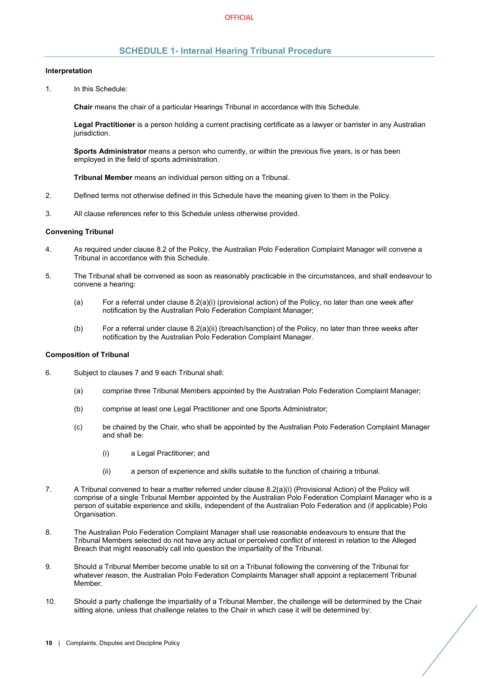# **SCHEDULE 1- Internal Hearing Tribunal Procedure**

#### <span id="page-20-0"></span>**Interpretation**

1. In this Schedule:

**Chair** means the chair of a particular Hearings Tribunal in accordance with this Schedule.

**Legal Practitioner** is a person holding a current practising certificate as a lawyer or barrister in any Australian jurisdiction.

**Sports Administrator** means a person who currently, or within the previous five years, is or has been employed in the field of sports administration.

**Tribunal Member** means an individual person sitting on a Tribunal.

- 2. Defined terms not otherwise defined in this Schedule have the meaning given to them in the Policy.
- 3. All clause references refer to this Schedule unless otherwise provided.

#### **Convening Tribunal**

- 4. As required under claus[e 8.2](#page-15-2) of the Policy, the Australian Polo Federation Complaint Manager will convene a Tribunal in accordance with this Schedule.
- 5. The Tribunal shall be convened as soon as reasonably practicable in the circumstances, and shall endeavour to convene a hearing:
	- (a) For a referral under clause [8.2\(a\)\(i\)](#page-15-10) (provisional action) of the Policy, no later than one week after notification by the Australian Polo Federation Complaint Manager;
	- (b) For a referral under clause [8.2\(a\)\(ii\)](#page-15-8) (breach/sanction) of the Policy, no later than three weeks after notification by the Australian Polo Federation Complaint Manager.

## **Composition of Tribunal**

- 6. Subject to clause[s 7](#page-13-1) and [9](#page-16-1) each Tribunal shall:
	- (a) comprise three Tribunal Members appointed by the Australian Polo Federation Complaint Manager;
	- (b) comprise at least one Legal Practitioner and one Sports Administrator;
	- (c) be chaired by the Chair, who shall be appointed by the Australian Polo Federation Complaint Manager and shall be:
		- (i) a Legal Practitioner; and
		- (ii) a person of experience and skills suitable to the function of chairing a tribunal.
- 7. A Tribunal convened to hear a matter referred under clause [8.2\(a\)\(i\)](#page-15-10) (Provisional Action) of the Policy will comprise of a single Tribunal Member appointed by the Australian Polo Federation Complaint Manager who is a person of suitable experience and skills, independent of the Australian Polo Federation and (if applicable) Polo Organisation.
- 8. The Australian Polo Federation Complaint Manager shall use reasonable endeavours to ensure that the Tribunal Members selected do not have any actual or perceived conflict of interest in relation to the Alleged Breach that might reasonably call into question the impartiality of the Tribunal.
- 9. Should a Tribunal Member become unable to sit on a Tribunal following the convening of the Tribunal for whatever reason, the Australian Polo Federation Complaints Manager shall appoint a replacement Tribunal Member.
- 10. Should a party challenge the impartiality of a Tribunal Member, the challenge will be determined by the Chair sitting alone, unless that challenge relates to the Chair in which case it will be determined by: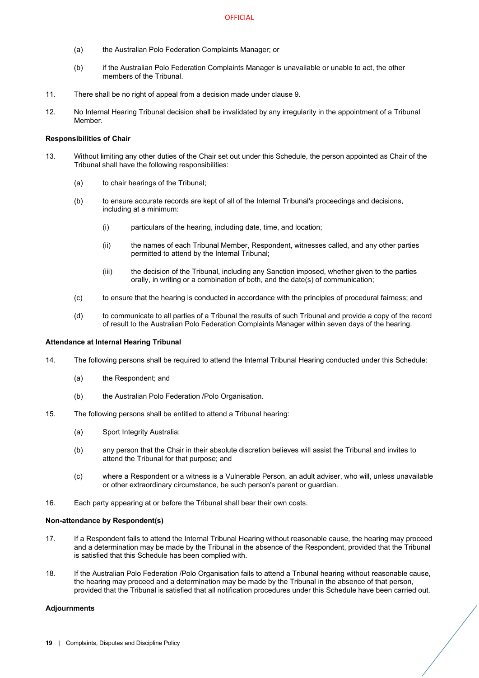- (a) the Australian Polo Federation Complaints Manager; or
- (b) if the Australian Polo Federation Complaints Manager is unavailable or unable to act, the other members of the Tribunal.
- 11. There shall be no right of appeal from a decision made under clause 9.
- 12. No Internal Hearing Tribunal decision shall be invalidated by any irregularity in the appointment of a Tribunal Member.

## **Responsibilities of Chair**

- 13. Without limiting any other duties of the Chair set out under this Schedule, the person appointed as Chair of the Tribunal shall have the following responsibilities:
	- (a) to chair hearings of the Tribunal;
	- (b) to ensure accurate records are kept of all of the Internal Tribunal's proceedings and decisions, including at a minimum:
		- (i) particulars of the hearing, including date, time, and location;
		- (ii) the names of each Tribunal Member, Respondent, witnesses called, and any other parties permitted to attend by the Internal Tribunal;
		- (iii) the decision of the Tribunal, including any Sanction imposed, whether given to the parties orally, in writing or a combination of both, and the date(s) of communication;
	- (c) to ensure that the hearing is conducted in accordance with the principles of procedural fairness; and
	- (d) to communicate to all parties of a Tribunal the results of such Tribunal and provide a copy of the record of result to the Australian Polo Federation Complaints Manager within seven days of the hearing.

#### **Attendance at Internal Hearing Tribunal**

- 14. The following persons shall be required to attend the Internal Tribunal Hearing conducted under this Schedule:
	- (a) the Respondent; and
	- (b) the Australian Polo Federation /Polo Organisation.
- 15. The following persons shall be entitled to attend a Tribunal hearing:
	- (a) Sport Integrity Australia;
	- (b) any person that the Chair in their absolute discretion believes will assist the Tribunal and invites to attend the Tribunal for that purpose; and
	- (c) where a Respondent or a witness is a Vulnerable Person, an adult adviser, who will, unless unavailable or other extraordinary circumstance, be such person's parent or guardian.
- 16. Each party appearing at or before the Tribunal shall bear their own costs.

#### **Non-attendance by Respondent(s)**

- 17. If a Respondent fails to attend the Internal Tribunal Hearing without reasonable cause, the hearing may proceed and a determination may be made by the Tribunal in the absence of the Respondent, provided that the Tribunal is satisfied that this Schedule has been complied with.
- 18. If the Australian Polo Federation /Polo Organisation fails to attend a Tribunal hearing without reasonable cause, the hearing may proceed and a determination may be made by the Tribunal in the absence of that person, provided that the Tribunal is satisfied that all notification procedures under this Schedule have been carried out.

#### **Adjournments**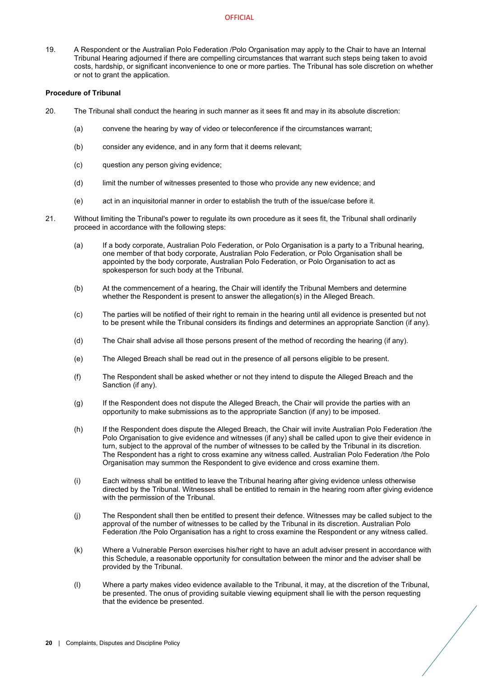19. A Respondent or the Australian Polo Federation /Polo Organisation may apply to the Chair to have an Internal Tribunal Hearing adjourned if there are compelling circumstances that warrant such steps being taken to avoid costs, hardship, or significant inconvenience to one or more parties. The Tribunal has sole discretion on whether or not to grant the application.

## **Procedure of Tribunal**

- 20. The Tribunal shall conduct the hearing in such manner as it sees fit and may in its absolute discretion:
	- (a) convene the hearing by way of video or teleconference if the circumstances warrant;
	- (b) consider any evidence, and in any form that it deems relevant;
	- (c) question any person giving evidence;
	- (d) limit the number of witnesses presented to those who provide any new evidence; and
	- (e) act in an inquisitorial manner in order to establish the truth of the issue/case before it.
- 21. Without limiting the Tribunal's power to regulate its own procedure as it sees fit, the Tribunal shall ordinarily proceed in accordance with the following steps:
	- (a) If a body corporate, Australian Polo Federation, or Polo Organisation is a party to a Tribunal hearing, one member of that body corporate, Australian Polo Federation, or Polo Organisation shall be appointed by the body corporate, Australian Polo Federation, or Polo Organisation to act as spokesperson for such body at the Tribunal.
	- (b) At the commencement of a hearing, the Chair will identify the Tribunal Members and determine whether the Respondent is present to answer the allegation(s) in the Alleged Breach.
	- (c) The parties will be notified of their right to remain in the hearing until all evidence is presented but not to be present while the Tribunal considers its findings and determines an appropriate Sanction (if any).
	- (d) The Chair shall advise all those persons present of the method of recording the hearing (if any).
	- (e) The Alleged Breach shall be read out in the presence of all persons eligible to be present.
	- (f) The Respondent shall be asked whether or not they intend to dispute the Alleged Breach and the Sanction (if any).
	- (g) If the Respondent does not dispute the Alleged Breach, the Chair will provide the parties with an opportunity to make submissions as to the appropriate Sanction (if any) to be imposed.
	- (h) If the Respondent does dispute the Alleged Breach, the Chair will invite Australian Polo Federation /the Polo Organisation to give evidence and witnesses (if any) shall be called upon to give their evidence in turn, subject to the approval of the number of witnesses to be called by the Tribunal in its discretion. The Respondent has a right to cross examine any witness called. Australian Polo Federation /the Polo Organisation may summon the Respondent to give evidence and cross examine them.
	- (i) Each witness shall be entitled to leave the Tribunal hearing after giving evidence unless otherwise directed by the Tribunal. Witnesses shall be entitled to remain in the hearing room after giving evidence with the permission of the Tribunal.
	- (j) The Respondent shall then be entitled to present their defence. Witnesses may be called subject to the approval of the number of witnesses to be called by the Tribunal in its discretion. Australian Polo Federation /the Polo Organisation has a right to cross examine the Respondent or any witness called.
	- (k) Where a Vulnerable Person exercises his/her right to have an adult adviser present in accordance with this Schedule, a reasonable opportunity for consultation between the minor and the adviser shall be provided by the Tribunal.
	- (l) Where a party makes video evidence available to the Tribunal, it may, at the discretion of the Tribunal, be presented. The onus of providing suitable viewing equipment shall lie with the person requesting that the evidence be presented.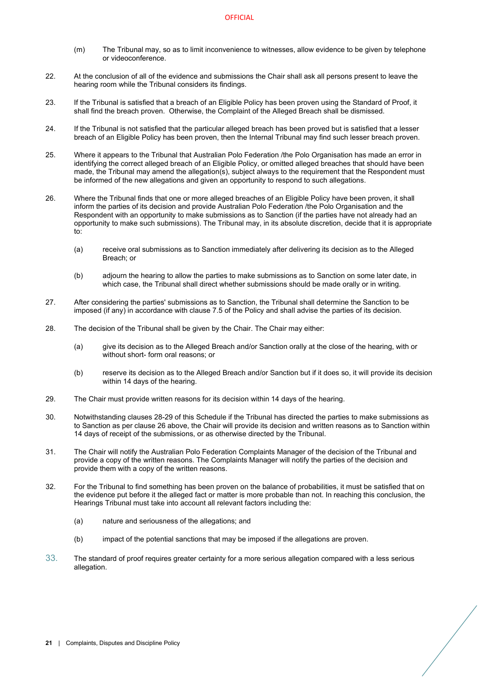- (m) The Tribunal may, so as to limit inconvenience to witnesses, allow evidence to be given by telephone or videoconference.
- 22. At the conclusion of all of the evidence and submissions the Chair shall ask all persons present to leave the hearing room while the Tribunal considers its findings.
- 23. If the Tribunal is satisfied that a breach of an Eligible Policy has been proven using the Standard of Proof, it shall find the breach proven. Otherwise, the Complaint of the Alleged Breach shall be dismissed.
- 24. If the Tribunal is not satisfied that the particular alleged breach has been proved but is satisfied that a lesser breach of an Eligible Policy has been proven, then the Internal Tribunal may find such lesser breach proven.
- 25. Where it appears to the Tribunal that Australian Polo Federation /the Polo Organisation has made an error in identifying the correct alleged breach of an Eligible Policy, or omitted alleged breaches that should have been made, the Tribunal may amend the allegation(s), subject always to the requirement that the Respondent must be informed of the new allegations and given an opportunity to respond to such allegations.
- <span id="page-23-2"></span>26. Where the Tribunal finds that one or more alleged breaches of an Eligible Policy have been proven, it shall inform the parties of its decision and provide Australian Polo Federation /the Polo Organisation and the Respondent with an opportunity to make submissions as to Sanction (if the parties have not already had an opportunity to make such submissions). The Tribunal may, in its absolute discretion, decide that it is appropriate to:
	- (a) receive oral submissions as to Sanction immediately after delivering its decision as to the Alleged Breach; or
	- (b) adjourn the hearing to allow the parties to make submissions as to Sanction on some later date, in which case, the Tribunal shall direct whether submissions should be made orally or in writing.
- 27. After considering the parties' submissions as to Sanction, the Tribunal shall determine the Sanction to be imposed (if any) in accordance with clause [7.5](#page-14-2) of the Policy and shall advise the parties of its decision.
- <span id="page-23-0"></span>28. The decision of the Tribunal shall be given by the Chair. The Chair may either:
	- (a) give its decision as to the Alleged Breach and/or Sanction orally at the close of the hearing, with or without short- form oral reasons; or
	- (b) reserve its decision as to the Alleged Breach and/or Sanction but if it does so, it will provide its decision within 14 days of the hearing.
- <span id="page-23-1"></span>29. The Chair must provide written reasons for its decision within 14 days of the hearing.
- 30. Notwithstanding clause[s 28](#page-23-0)[-29](#page-23-1) of this Schedule if the Tribunal has directed the parties to make submissions as to Sanction as per claus[e 26](#page-23-2) above, the Chair will provide its decision and written reasons as to Sanction within 14 days of receipt of the submissions, or as otherwise directed by the Tribunal.
- 31. The Chair will notify the Australian Polo Federation Complaints Manager of the decision of the Tribunal and provide a copy of the written reasons. The Complaints Manager will notify the parties of the decision and provide them with a copy of the written reasons.
- 32. For the Tribunal to find something has been proven on the balance of probabilities, it must be satisfied that on the evidence put before it the alleged fact or matter is more probable than not. In reaching this conclusion, the Hearings Tribunal must take into account all relevant factors including the:
	- (a) nature and seriousness of the allegations; and
	- (b) impact of the potential sanctions that may be imposed if the allegations are proven.
- 33. The standard of proof requires greater certainty for a more serious allegation compared with a less serious allegation.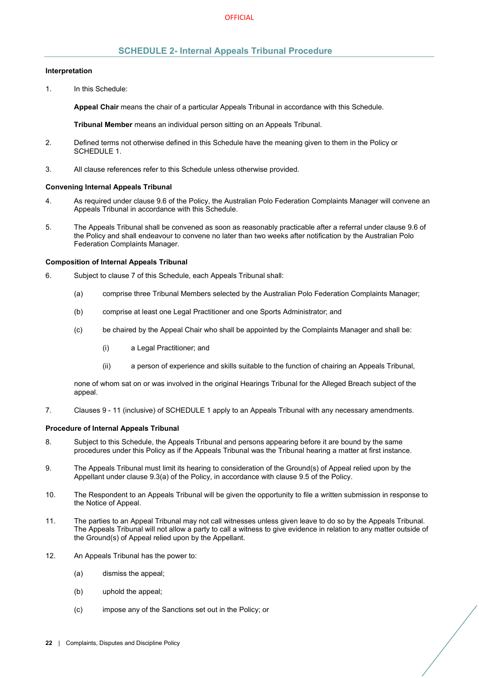# **SCHEDULE 2- Internal Appeals Tribunal Procedure**

#### <span id="page-24-0"></span>**Interpretation**

1. In this Schedule:

**Appeal Chair** means the chair of a particular Appeals Tribunal in accordance with this Schedule.

**Tribunal Member** means an individual person sitting on an Appeals Tribunal.

- 2. Defined terms not otherwise defined in this Schedule have the meaning given to them in the Policy or [SCHEDULE 1.](#page-20-0)
- 3. All clause references refer to this Schedule unless otherwise provided.

#### **Convening Internal Appeals Tribunal**

- 4. As required under claus[e 9.6](#page-17-1) of the Policy, the Australian Polo Federation Complaints Manager will convene an Appeals Tribunal in accordance with this Schedule.
- 5. The Appeals Tribunal shall be convened as soon as reasonably practicable after a referral under clause [9.6](#page-17-1) of the Policy and shall endeavour to convene no later than two weeks after notification by the Australian Polo Federation Complaints Manager.

#### **Composition of Internal Appeals Tribunal**

- 6. Subject to clause [7](#page-24-1) of this Schedule, each Appeals Tribunal shall:
	- (a) comprise three Tribunal Members selected by the Australian Polo Federation Complaints Manager;
	- (b) comprise at least one Legal Practitioner and one Sports Administrator; and
	- (c) be chaired by the Appeal Chair who shall be appointed by the Complaints Manager and shall be:
		- (i) a Legal Practitioner; and
		- (ii) a person of experience and skills suitable to the function of chairing an Appeals Tribunal,

none of whom sat on or was involved in the original Hearings Tribunal for the Alleged Breach subject of the appeal.

<span id="page-24-1"></span>7. Clauses 9 - 11 (inclusive) o[f SCHEDULE 1](#page-20-0) apply to an Appeals Tribunal with any necessary amendments.

#### **Procedure of Internal Appeals Tribunal**

- 8. Subject to this Schedule, the Appeals Tribunal and persons appearing before it are bound by the same procedures under this Policy as if the Appeals Tribunal was the Tribunal hearing a matter at first instance.
- 9. The Appeals Tribunal must limit its hearing to consideration of the Ground(s) of Appeal relied upon by the Appellant under clause [9.3\(a\)](#page-16-7) of the Policy, in accordance with clause [9.5](#page-17-0) of the Policy.
- 10. The Respondent to an Appeals Tribunal will be given the opportunity to file a written submission in response to the Notice of Appeal.
- 11. The parties to an Appeal Tribunal may not call witnesses unless given leave to do so by the Appeals Tribunal. The Appeals Tribunal will not allow a party to call a witness to give evidence in relation to any matter outside of the Ground(s) of Appeal relied upon by the Appellant.
- 12. An Appeals Tribunal has the power to:
	- (a) dismiss the appeal;
	- (b) uphold the appeal;
	- (c) impose any of the Sanctions set out in the Policy; or